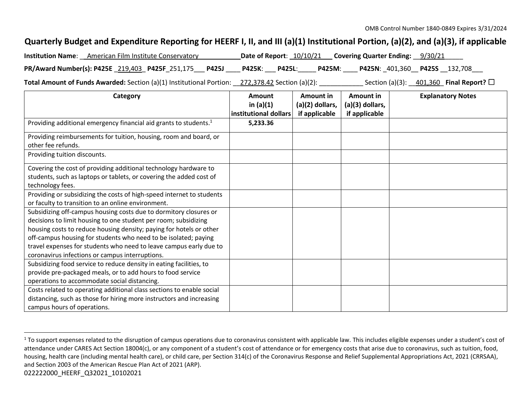## **Quarterly Budget and Expenditure Reporting for HEERF I, II, and III (a)(1) Institutional Portion, (a)(2), and (a)(3), if applicable**

| <b>Institution Name:</b> American Film Institute Conservatory | Date of Report: 10/10/21 Covering Quarter Ending: 9/30/21 |
|---------------------------------------------------------------|-----------------------------------------------------------|
| PR/Award Number(s): P425E 219,403 P425F 251,175 P425J         | P425K: P425L: P425M: P425N: 401,360 P425S 132,708         |

**Total Amount of Funds Awarded:** Section (a)(1) Institutional Portion: 272,378.42 Section (a)(2): Section (a)(3): 401,360 **Final Report?** □

| Category                                                                      | Amount                | Amount in         | Amount in       | <b>Explanatory Notes</b> |
|-------------------------------------------------------------------------------|-----------------------|-------------------|-----------------|--------------------------|
|                                                                               | in $(a)(1)$           | $(a)(2)$ dollars, | (a)(3) dollars, |                          |
|                                                                               | institutional dollars | if applicable     | if applicable   |                          |
| Providing additional emergency financial aid grants to students. <sup>1</sup> | 5,233.36              |                   |                 |                          |
| Providing reimbursements for tuition, housing, room and board, or             |                       |                   |                 |                          |
| other fee refunds.                                                            |                       |                   |                 |                          |
| Providing tuition discounts.                                                  |                       |                   |                 |                          |
| Covering the cost of providing additional technology hardware to              |                       |                   |                 |                          |
| students, such as laptops or tablets, or covering the added cost of           |                       |                   |                 |                          |
| technology fees.                                                              |                       |                   |                 |                          |
| Providing or subsidizing the costs of high-speed internet to students         |                       |                   |                 |                          |
| or faculty to transition to an online environment.                            |                       |                   |                 |                          |
| Subsidizing off-campus housing costs due to dormitory closures or             |                       |                   |                 |                          |
| decisions to limit housing to one student per room; subsidizing               |                       |                   |                 |                          |
| housing costs to reduce housing density; paying for hotels or other           |                       |                   |                 |                          |
| off-campus housing for students who need to be isolated; paying               |                       |                   |                 |                          |
| travel expenses for students who need to leave campus early due to            |                       |                   |                 |                          |
| coronavirus infections or campus interruptions.                               |                       |                   |                 |                          |
| Subsidizing food service to reduce density in eating facilities, to           |                       |                   |                 |                          |
| provide pre-packaged meals, or to add hours to food service                   |                       |                   |                 |                          |
| operations to accommodate social distancing.                                  |                       |                   |                 |                          |
| Costs related to operating additional class sections to enable social         |                       |                   |                 |                          |
| distancing, such as those for hiring more instructors and increasing          |                       |                   |                 |                          |
| campus hours of operations.                                                   |                       |                   |                 |                          |

<sup>022222000</sup>\_HEERF\_Q32021\_10102021 <sup>1</sup> To support expenses related to the disruption of campus operations due to coronavirus consistent with applicable law. This includes eligible expenses under a student's cost of attendance under CARES Act Section 18004(c), or any component of a student's cost of attendance or for emergency costs that arise due to coronavirus, such as tuition, food, housing, health care (including mental health care), or child care, per Section 314(c) of the Coronavirus Response and Relief Supplemental Appropriations Act, 2021 (CRRSAA), and Section 2003 of the American Rescue Plan Act of 2021 (ARP).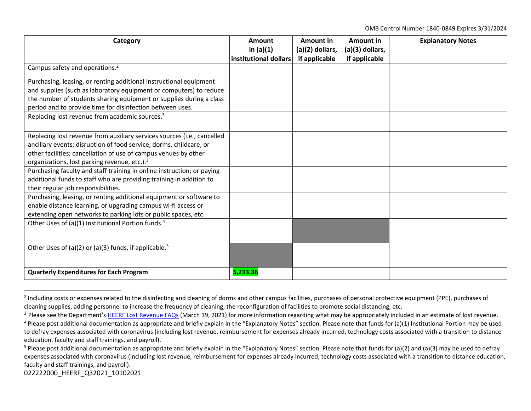OMB Control Number 1840-0849 Expires 3/31/2024

| Category                                                                | Amount<br>in $(a)(1)$ | Amount in<br>(a)(2) dollars, | Amount in<br>(a)(3) dollars, | <b>Explanatory Notes</b> |
|-------------------------------------------------------------------------|-----------------------|------------------------------|------------------------------|--------------------------|
|                                                                         | institutional dollars | if applicable                | if applicable                |                          |
| Campus safety and operations. <sup>2</sup>                              |                       |                              |                              |                          |
| Purchasing, leasing, or renting additional instructional equipment      |                       |                              |                              |                          |
| and supplies (such as laboratory equipment or computers) to reduce      |                       |                              |                              |                          |
| the number of students sharing equipment or supplies during a class     |                       |                              |                              |                          |
| period and to provide time for disinfection between uses.               |                       |                              |                              |                          |
| Replacing lost revenue from academic sources. <sup>3</sup>              |                       |                              |                              |                          |
|                                                                         |                       |                              |                              |                          |
| Replacing lost revenue from auxiliary services sources (i.e., cancelled |                       |                              |                              |                          |
| ancillary events; disruption of food service, dorms, childcare, or      |                       |                              |                              |                          |
| other facilities; cancellation of use of campus venues by other         |                       |                              |                              |                          |
| organizations, lost parking revenue, etc.). <sup>3</sup>                |                       |                              |                              |                          |
| Purchasing faculty and staff training in online instruction; or paying  |                       |                              |                              |                          |
| additional funds to staff who are providing training in addition to     |                       |                              |                              |                          |
| their regular job responsibilities.                                     |                       |                              |                              |                          |
| Purchasing, leasing, or renting additional equipment or software to     |                       |                              |                              |                          |
| enable distance learning, or upgrading campus wi-fi access or           |                       |                              |                              |                          |
| extending open networks to parking lots or public spaces, etc.          |                       |                              |                              |                          |
| Other Uses of (a)(1) Institutional Portion funds. <sup>4</sup>          |                       |                              |                              |                          |
|                                                                         |                       |                              |                              |                          |
| Other Uses of (a)(2) or (a)(3) funds, if applicable. <sup>5</sup>       |                       |                              |                              |                          |
|                                                                         |                       |                              |                              |                          |
| <b>Quarterly Expenditures for Each Program</b>                          | 5,233.36              |                              |                              |                          |

<sup>&</sup>lt;sup>2</sup> Including costs or expenses related to the disinfecting and cleaning of dorms and other campus facilities, purchases of personal protective equipment (PPE), purchases of cleaning supplies, adding personnel to increase the frequency of cleaning, the reconfiguration of facilities to promote social distancing, etc.

022222000\_HEERF\_Q32021\_10102021

<sup>&</sup>lt;sup>3</sup> Please see the Department's <u>[HEERF Lost Revenue FAQs](https://www2.ed.gov/about/offices/list/ope/heerflostrevenuefaqs.pdf)</u> (March 19, 2021) for more information regarding what may be appropriately included in an estimate of lost revenue.

 $4$  Please post additional documentation as appropriate and briefly explain in the "Explanatory Notes" section. Please note that funds for (a)(1) Institutional Portion may be used to defray expenses associated with coronavirus (including lost revenue, reimbursement for expenses already incurred, technology costs associated with a transition to distance education, faculty and staff trainings, and payroll).

<sup>&</sup>lt;sup>5</sup> Please post additional documentation as appropriate and briefly explain in the "Explanatory Notes" section. Please note that funds for (a)(2) and (a)(3) may be used to defray expenses associated with coronavirus (including lost revenue, reimbursement for expenses already incurred, technology costs associated with a transition to distance education, faculty and staff trainings, and payroll).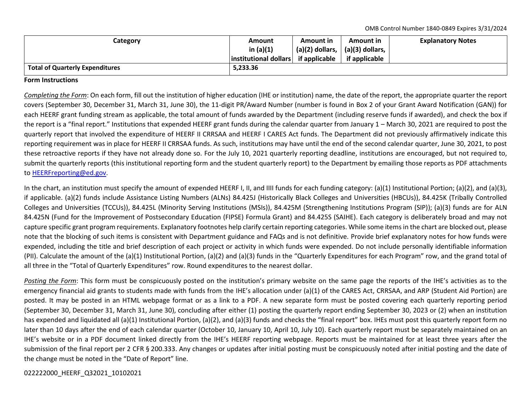OMB Control Number 1840-0849 Expires 3/31/2024

| Category                               | Amount                | Amount in                 | Amount in         | <b>Explanatory Notes</b> |
|----------------------------------------|-----------------------|---------------------------|-------------------|--------------------------|
|                                        | in $(a)(1)$           | $(a)(2)$ dollars, $\vert$ | $(a)(3)$ dollars, |                          |
|                                        | institutional dollars | if applicable             | if applicable     |                          |
| <b>Total of Quarterly Expenditures</b> | 5,233.36              |                           |                   |                          |

## **Form Instructions**

*Completing the Form*: On each form, fill out the institution of higher education (IHE or institution) name, the date of the report, the appropriate quarter the report covers (September 30, December 31, March 31, June 30), the 11-digit PR/Award Number (number is found in Box 2 of your Grant Award Notification (GAN)) for each HEERF grant funding stream as applicable, the total amount of funds awarded by the Department (including reserve funds if awarded), and check the box if the report is a "final report." Institutions that expended HEERF grant funds during the calendar quarter from January 1 – March 30, 2021 are required to post the quarterly report that involved the expenditure of HEERF II CRRSAA and HEERF I CARES Act funds. The Department did not previously affirmatively indicate this reporting requirement was in place for HEERF II CRRSAA funds. As such, institutions may have until the end of the second calendar quarter, June 30, 2021, to post these retroactive reports if they have not already done so. For the July 10, 2021 quarterly reporting deadline, institutions are encouraged, but not required to, submit the quarterly reports (this institutional reporting form and the student quarterly report) to the Department by emailing those reports as PDF attachments to [HEERFreporting@ed.gov.](mailto:HEERFreporting@ed.gov)

In the chart, an institution must specify the amount of expended HEERF I, II, and IIII funds for each funding category: (a)(1) Institutional Portion; (a)(2), and (a)(3), if applicable. (a)(2) funds include Assistance Listing Numbers (ALNs) 84.425J (Historically Black Colleges and Universities (HBCUs)), 84.425K (Tribally Controlled Colleges and Universities (TCCUs)), 84.425L (Minority Serving Institutions (MSIs)), 84.425M (Strengthening Institutions Program (SIP)); (a)(3) funds are for ALN 84.425N (Fund for the Improvement of Postsecondary Education (FIPSE) Formula Grant) and 84.425S (SAIHE). Each category is deliberately broad and may not capture specific grant program requirements. Explanatory footnotes help clarify certain reporting categories. While some items in the chart are blocked out, please note that the blocking of such items is consistent with Department guidance and FAQs and is not definitive. Provide brief explanatory notes for how funds were expended, including the title and brief description of each project or activity in which funds were expended. Do not include personally identifiable information (PII). Calculate the amount of the (a)(1) Institutional Portion, (a)(2) and (a)(3) funds in the "Quarterly Expenditures for each Program" row, and the grand total of all three in the "Total of Quarterly Expenditures" row. Round expenditures to the nearest dollar.

Posting the Form: This form must be conspicuously posted on the institution's primary website on the same page the reports of the IHE's activities as to the emergency financial aid grants to students made with funds from the IHE's allocation under (a)(1) of the CARES Act, CRRSAA, and ARP (Student Aid Portion) are posted. It may be posted in an HTML webpage format or as a link to a PDF. A new separate form must be posted covering each quarterly reporting period (September 30, December 31, March 31, June 30), concluding after either (1) posting the quarterly report ending September 30, 2023 or (2) when an institution has expended and liquidated all (a)(1) Institutional Portion, (a)(2), and (a)(3) funds and checks the "final report" box. IHEs must post this quarterly report form no later than 10 days after the end of each calendar quarter (October 10, January 10, April 10, July 10). Each quarterly report must be separately maintained on an IHE's website or in a PDF document linked directly from the IHE's HEERF reporting webpage. Reports must be maintained for at least three years after the submission of the final report per 2 CFR § 200.333. Any changes or updates after initial posting must be conspicuously noted after initial posting and the date of the change must be noted in the "Date of Report" line.

022222000\_HEERF\_Q32021\_10102021